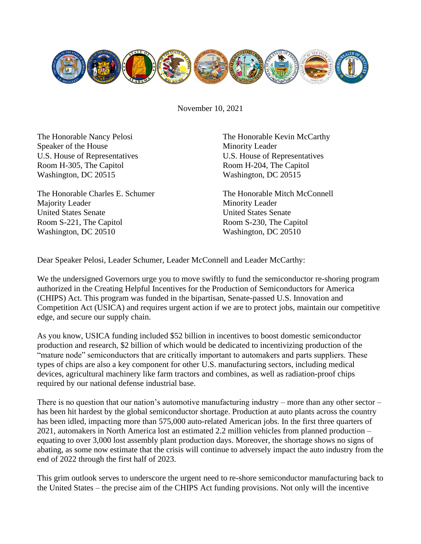

November 10, 2021

The Honorable Nancy Pelosi Speaker of the House U.S. House of Representatives Room H-305, The Capitol Washington, DC 20515

The Honorable Charles E. Schumer Majority Leader United States Senate Room S-221, The Capitol Washington, DC 20510

The Honorable Kevin McCarthy Minority Leader U.S. House of Representatives Room H-204, The Capitol Washington, DC 20515

The Honorable Mitch McConnell Minority Leader United States Senate Room S-230, The Capitol Washington, DC 20510

Dear Speaker Pelosi, Leader Schumer, Leader McConnell and Leader McCarthy:

We the undersigned Governors urge you to move swiftly to fund the semiconductor re-shoring program authorized in the Creating Helpful Incentives for the Production of Semiconductors for America (CHIPS) Act. This program was funded in the bipartisan, Senate-passed U.S. Innovation and Competition Act (USICA) and requires urgent action if we are to protect jobs, maintain our competitive edge, and secure our supply chain.

As you know, USICA funding included \$52 billion in incentives to boost domestic semiconductor production and research, \$2 billion of which would be dedicated to incentivizing production of the "mature node" semiconductors that are critically important to automakers and parts suppliers. These types of chips are also a key component for other U.S. manufacturing sectors, including medical devices, agricultural machinery like farm tractors and combines, as well as radiation-proof chips required by our national defense industrial base.

There is no question that our nation's automotive manufacturing industry – more than any other sector – has been hit hardest by the global semiconductor shortage. Production at auto plants across the country has been idled, impacting more than 575,000 auto-related American jobs. In the first three quarters of 2021, automakers in North America lost an estimated 2.2 million vehicles from planned production – equating to over 3,000 lost assembly plant production days. Moreover, the shortage shows no signs of abating, as some now estimate that the crisis will continue to adversely impact the auto industry from the end of 2022 through the first half of 2023.

This grim outlook serves to underscore the urgent need to re-shore semiconductor manufacturing back to the United States – the precise aim of the CHIPS Act funding provisions. Not only will the incentive